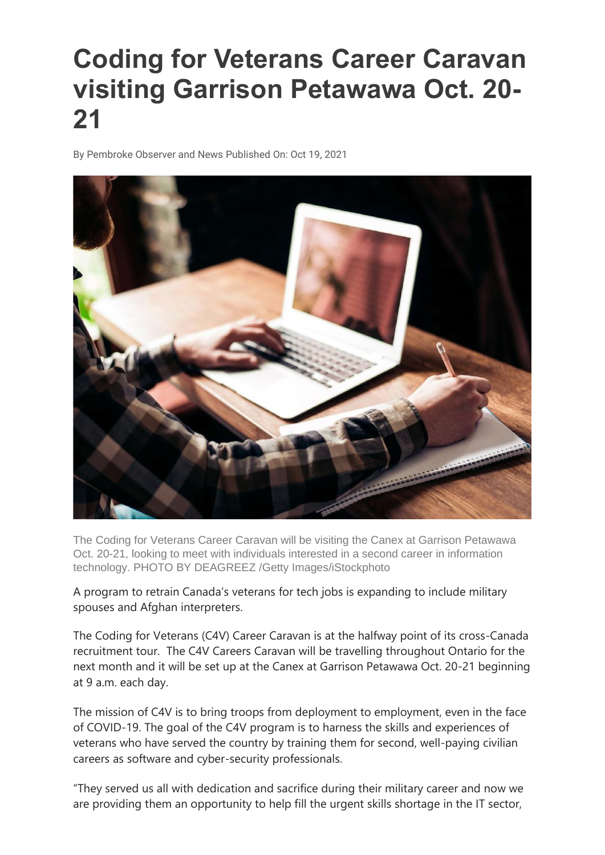## **Coding for Veterans Career Caravan visiting Garrison Petawawa Oct. 20- 21**

By Pembroke Observer and News Published On: Oct 19, 2021



The Coding for Veterans Career Caravan will be visiting the Canex at Garrison Petawawa Oct. 20-21, looking to meet with individuals interested in a second career in information technology. PHOTO BY DEAGREEZ /Getty Images/iStockphoto

A program to retrain Canada's veterans for tech jobs is expanding to include military spouses and Afghan interpreters.

The Coding for Veterans (C4V) Career Caravan is at the halfway point of its cross-Canada recruitment tour. The C4V Careers Caravan will be travelling throughout Ontario for the next month and it will be set up at the Canex at Garrison Petawawa Oct. 20-21 beginning at 9 a.m. each day.

The mission of C4V is to bring troops from deployment to employment, even in the face of COVID-19. The goal of the C4V program is to harness the skills and experiences of veterans who have served the country by training them for second, well-paying civilian careers as software and cyber-security professionals.

"They served us all with dedication and sacrifice during their military career and now we are providing them an opportunity to help fill the urgent skills shortage in the IT sector,